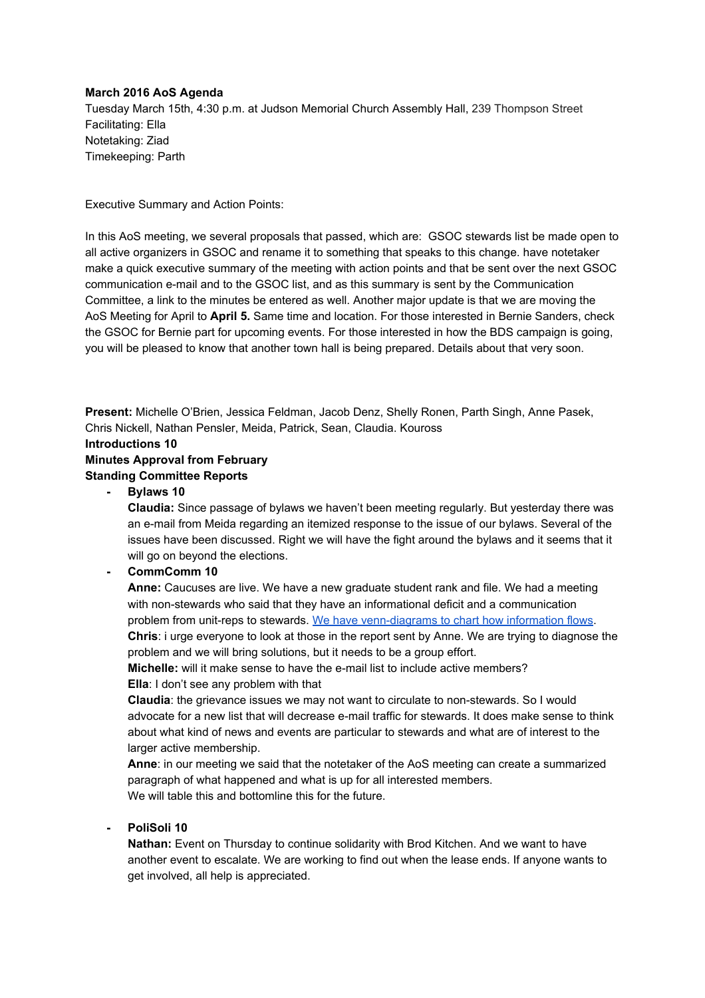#### **March 2016 AoS Agenda**

Tuesday March 15th, 4:30 p.m. at Judson Memorial Church Assembly Hall, 239 Thompson Street Facilitating: Ella Notetaking: Ziad Timekeeping: Parth

Executive Summary and Action Points:

In this AoS meeting, we several proposals that passed, which are: GSOC stewards list be made open to all active organizers in GSOC and rename it to something that speaks to this change. have notetaker make a quick executive summary of the meeting with action points and that be sent over the next GSOC communication e-mail and to the GSOC list, and as this summary is sent by the Communication Committee, a link to the minutes be entered as well. Another major update is that we are moving the AoS Meeting for April to **April 5.**Same time and location. For those interested in Bernie Sanders, check the GSOC for Bernie part for upcoming events. For those interested in how the BDS campaign is going, you will be pleased to know that another town hall is being prepared. Details about that very soon.

**Present:** Michelle O'Brien, Jessica Feldman, Jacob Denz, Shelly Ronen, Parth Singh, Anne Pasek, Chris Nickell, Nathan Pensler, Meida, Patrick, Sean, Claudia. Kouross

**Introductions 10**

# **Minutes Approval from February**

## **Standing Committee Reports**

**Bylaws 10**

**Claudia:** Since passage of bylaws we haven't been meeting regularly. But yesterday there was an e-mail from Meida regarding an itemized response to the issue of our bylaws. Several of the issues have been discussed. Right we will have the fight around the bylaws and it seems that it will go on beyond the elections.

## **CommComm 10**

**Anne:** Caucuses are live. We have a new graduate student rank and file. We had a meeting with non-stewards who said that they have an informational deficit and a communication problem from unit-reps to stewards. We have venn-diagrams to chart how information flows. **Chris**: i urge everyone to look at those in the report sent by Anne. We are trying to diagnose the problem and we will bring solutions, but it needs to be a group effort.

**Michelle:** will it make sense to have the e-mail list to include active members? **Ella**: I don't see any problem with that

**Claudia**: the grievance issues we may not want to circulate to nonstewards. So I would advocate for a new list that will decrease e-mail traffic for stewards. It does make sense to think about what kind of news and events are particular to stewards and what are of interest to the larger active membership.

**Anne**: in our meeting we said that the notetaker of the AoS meeting can create a summarized paragraph of what happened and what is up for all interested members. We will table this and bottomline this for the future.

# **PoliSoli 10**

**Nathan:**Event on Thursday to continue solidarity with Brod Kitchen. And we want to have another event to escalate. We are working to find out when the lease ends. If anyone wants to get involved, all help is appreciated.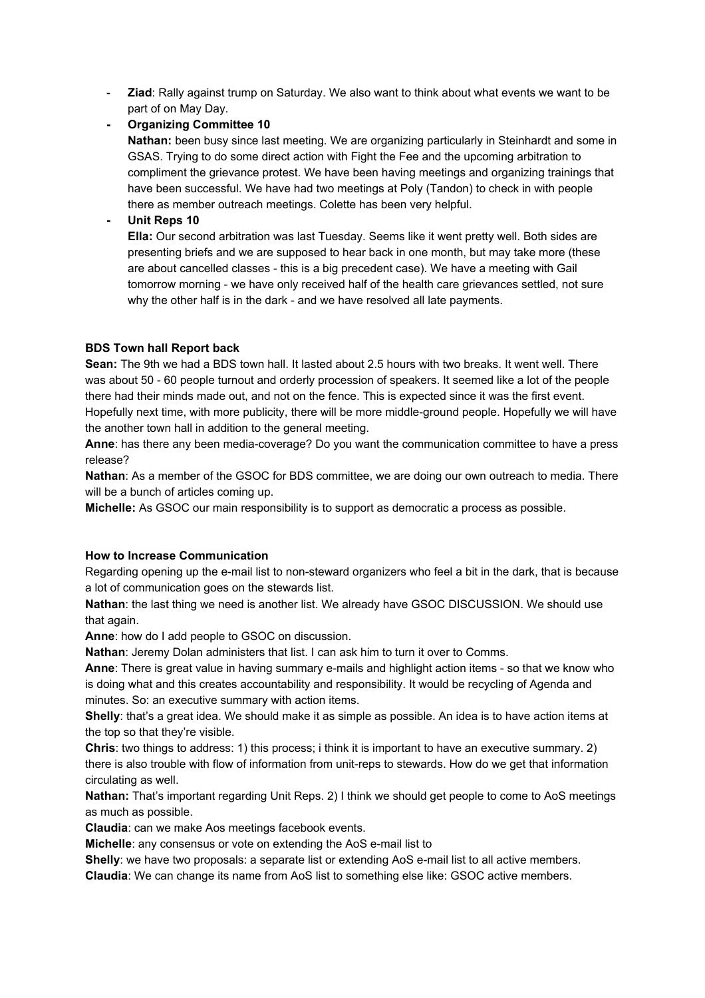**Ziad**: Rally against trump on Saturday. We also want to think about what events we want to be part of on May Day.

**Organizing Committee 10**

**Nathan:** been busy since last meeting. We are organizing particularly in Steinhardt and some in GSAS. Trying to do some direct action with Fight the Fee and the upcoming arbitration to compliment the grievance protest. We have been having meetings and organizing trainings that have been successful. We have had two meetings at Poly (Tandon) to check in with people there as member outreach meetings. Colette has been very helpful.

**Unit Reps 10**

**Ella:** Our second arbitration was last Tuesday. Seems like it went pretty well. Both sides are presenting briefs and we are supposed to hear back in one month, but may take more (these are about cancelled classes - this is a big precedent case). We have a meeting with Gail tomorrow morning - we have only received half of the health care grievances settled, not sure why the other half is in the dark - and we have resolved all late payments.

# **BDS Town hall Report back**

**Sean:** The 9th we had a BDS town hall. It lasted about 2.5 hours with two breaks. It went well. There was about 50 - 60 people turnout and orderly procession of speakers. It seemed like a lot of the people there had their minds made out, and not on the fence. This is expected since it was the first event. Hopefully next time, with more publicity, there will be more middle-ground people. Hopefully we will have the another town hall in addition to the general meeting.

**Anne**: has there any been media-coverage? Do you want the communication committee to have a press release?

**Nathan**: As a member of the GSOC for BDS committee, we are doing our own outreach to media. There will be a bunch of articles coming up.

**Michelle:**As GSOC our main responsibility is to support as democratic a process as possible.

## **How to Increase Communication**

Regarding opening up the e-mail list to non-steward organizers who feel a bit in the dark, that is because a lot of communication goes on the stewards list.

**Nathan**: the last thing we need is another list. We already have GSOC DISCUSSION. We should use that again.

**Anne**: how do I add people to GSOC on discussion.

**Nathan**: Jeremy Dolan administers that list. I can ask him to turn it over to Comms.

**Anne**: There is great value in having summary e-mails and highlight action items - so that we know who is doing what and this creates accountability and responsibility. It would be recycling of Agenda and minutes. So: an executive summary with action items.

**Shelly**: that's a great idea. We should make it as simple as possible. An idea is to have action items at the top so that they're visible.

**Chris**: two things to address: 1) this process; i think it is important to have an executive summary. 2) there is also trouble with flow of information from unit-reps to stewards. How do we get that information circulating as well.

**Nathan:**That's important regarding Unit Reps. 2) I think we should get people to come to AoS meetings as much as possible.

**Claudia**: can we make Aos meetings facebook events.

**Michelle**: any consensus or vote on extending the AoS e-mail list to

**Shelly**: we have two proposals: a separate list or extending AoS e-mail list to all active members.

**Claudia**: We can change its name from AoS list to something else like: GSOC active members.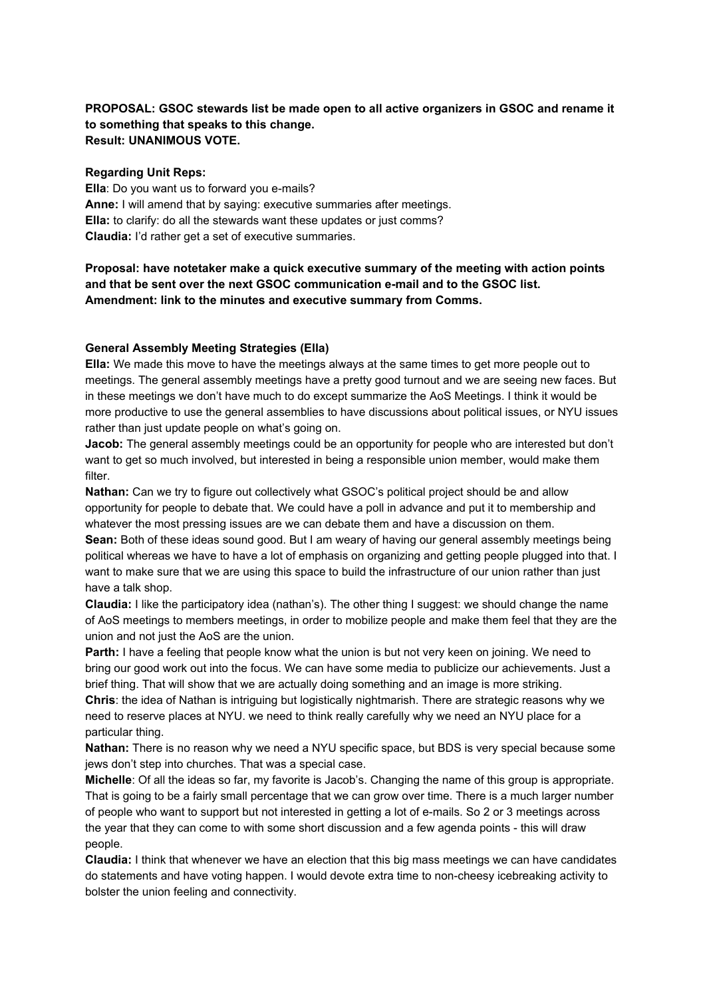# **PROPOSAL: GSOC stewards list be made open to all active organizers in GSOC and rename it to something that speaks to this change. Result: UNANIMOUS VOTE.**

#### **Regarding Unit Reps:**

**Ella**: Do you want us to forward you e-mails? **Anne:** I will amend that by saying: executive summaries after meetings. **Ella:**to clarify: do all the stewards want these updates or just comms? **Claudia:** I'd rather get a set of executive summaries.

# **Proposal: have notetaker make a quick executive summary of the meeting with action points and that be sent over the next GSOC communication email and to the GSOC list. Amendment: link to the minutes and executive summary from Comms.**

#### **General Assembly Meeting Strategies (Ella)**

**Ella:** We made this move to have the meetings always at the same times to get more people out to meetings. The general assembly meetings have a pretty good turnout and we are seeing new faces. But in these meetings we don't have much to do except summarize the AoS Meetings. I think it would be more productive to use the general assemblies to have discussions about political issues, or NYU issues rather than just update people on what's going on.

**Jacob:** The general assembly meetings could be an opportunity for people who are interested but don't want to get so much involved, but interested in being a responsible union member, would make them filter.

**Nathan:** Can we try to figure out collectively what GSOC's political project should be and allow opportunity for people to debate that. We could have a poll in advance and put it to membership and whatever the most pressing issues are we can debate them and have a discussion on them.

**Sean:** Both of these ideas sound good. But I am weary of having our general assembly meetings being political whereas we have to have a lot of emphasis on organizing and getting people plugged into that. I want to make sure that we are using this space to build the infrastructure of our union rather than just have a talk shop.

**Claudia:** I like the participatory idea (nathan's). The other thing I suggest: we should change the name of AoS meetings to members meetings, in order to mobilize people and make them feel that they are the union and not just the AoS are the union.

**Parth:** I have a feeling that people know what the union is but not very keen on joining. We need to bring our good work out into the focus. We can have some media to publicize our achievements. Just a brief thing. That will show that we are actually doing something and an image is more striking. **Chris**: the idea of Nathan is intriguing but logistically nightmarish. There are strategic reasons why we

need to reserve places at NYU. we need to think really carefully why we need an NYU place for a particular thing.

**Nathan:** There is no reason why we need a NYU specific space, but BDS is very special because some jews don't step into churches. That was a special case.

**Michelle**: Of all the ideas so far, my favorite is Jacob's. Changing the name of this group is appropriate. That is going to be a fairly small percentage that we can grow over time. There is a much larger number of people who want to support but not interested in getting a lot of emails. So 2 or 3 meetings across the year that they can come to with some short discussion and a few agenda points - this will draw people.

**Claudia:** I think that whenever we have an election that this big mass meetings we can have candidates do statements and have voting happen. I would devote extra time to noncheesy icebreaking activity to bolster the union feeling and connectivity.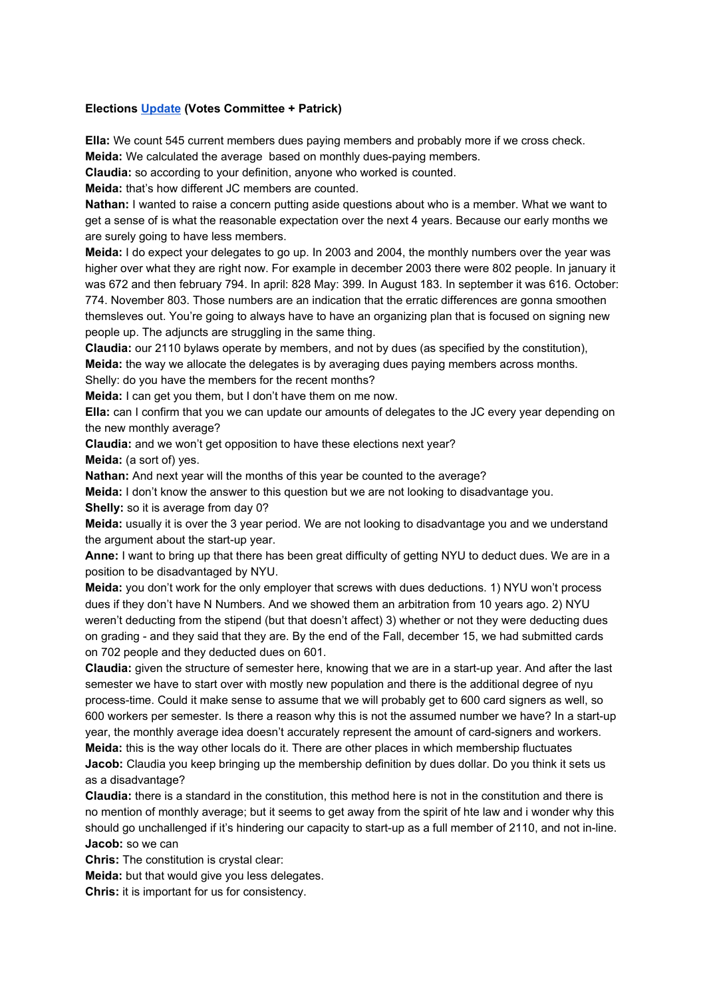## **Elections [Update](https://docs.google.com/document/d/1l-3PUx0jYRtk27_oQx3T18hwgXv99mJ1ED-gJN375Po/edit?usp=sharing)(Votes Committee + Patrick)**

**Ella:** We count 545 current members dues paying members and probably more if we cross check. **Meida:** We calculated the average based on monthly dues-paying members.

**Claudia:**so according to your definition, anyone who worked is counted.

**Meida:** that's how different JC members are counted.

**Nathan:** I wanted to raise a concern putting aside questions about who is a member. What we want to get a sense of is what the reasonable expectation over the next 4 years. Because our early months we are surely going to have less members.

**Meida:** I do expect your delegates to go up. In 2003 and 2004, the monthly numbers over the year was higher over what they are right now. For example in december 2003 there were 802 people. In january it was 672 and then february 794. In april: 828 May: 399. In August 183. In september it was 616. October:

774. November 803. Those numbers are an indication that the erratic differences are gonna smoothen themsleves out. You're going to always have to have an organizing plan that is focused on signing new people up. The adjuncts are struggling in the same thing.

**Claudia:** our 2110 bylaws operate by members, and not by dues (as specified by the constitution),

**Meida:**the way we allocate the delegates is by averaging dues paying members across months.

Shelly: do you have the members for the recent months?

**Meida:** I can get you them, but I don't have them on me now.

**Ella:** can I confirm that you we can update our amounts of delegates to the JC every year depending on the new monthly average?

**Claudia:** and we won't get opposition to have these elections next year?

**Meida:**(a sort of) yes.

**Nathan:** And next year will the months of this year be counted to the average?

**Meida:**I don't know the answer to this question but we are not looking to disadvantage you.

**Shelly:**so it is average from day 0?

**Meida:**usually it is over the 3 year period. We are not looking to disadvantage you and we understand the argument about the start-up year.

**Anne:**I want to bring up that there has been great difficulty of getting NYU to deduct dues. We are in a position to be disadvantaged by NYU.

**Meida:**you don't work for the only employer that screws with dues deductions. 1) NYU won't process dues if they don't have N Numbers. And we showed them an arbitration from 10 years ago. 2) NYU weren't deducting from the stipend (but that doesn't affect) 3) whether or not they were deducting dues on grading - and they said that they are. By the end of the Fall, december 15, we had submitted cards on 702 people and they deducted dues on 601.

**Claudia:** given the structure of semester here, knowing that we are in a start-up year. And after the last semester we have to start over with mostly new population and there is the additional degree of nyu processtime. Could it make sense to assume that we will probably get to 600 card signers as well, so 600 workers per semester. Is there a reason why this is not the assumed number we have? In a start-up year, the monthly average idea doesn't accurately represent the amount of card-signers and workers. **Meida:** this is the way other locals do it. There are other places in which membership fluctuates

**Jacob:** Claudia you keep bringing up the membership definition by dues dollar. Do you think it sets us as a disadvantage?

**Claudia:**there is a standard in the constitution, this method here is not in the constitution and there is no mention of monthly average; but it seems to get away from the spirit of hte law and i wonder why this should go unchallenged if it's hindering our capacity to start-up as a full member of 2110, and not in-line. **Jacob:** so we can

**Chris:** The constitution is crystal clear:

**Meida:**but that would give you less delegates.

**Chris:**it is important for us for consistency.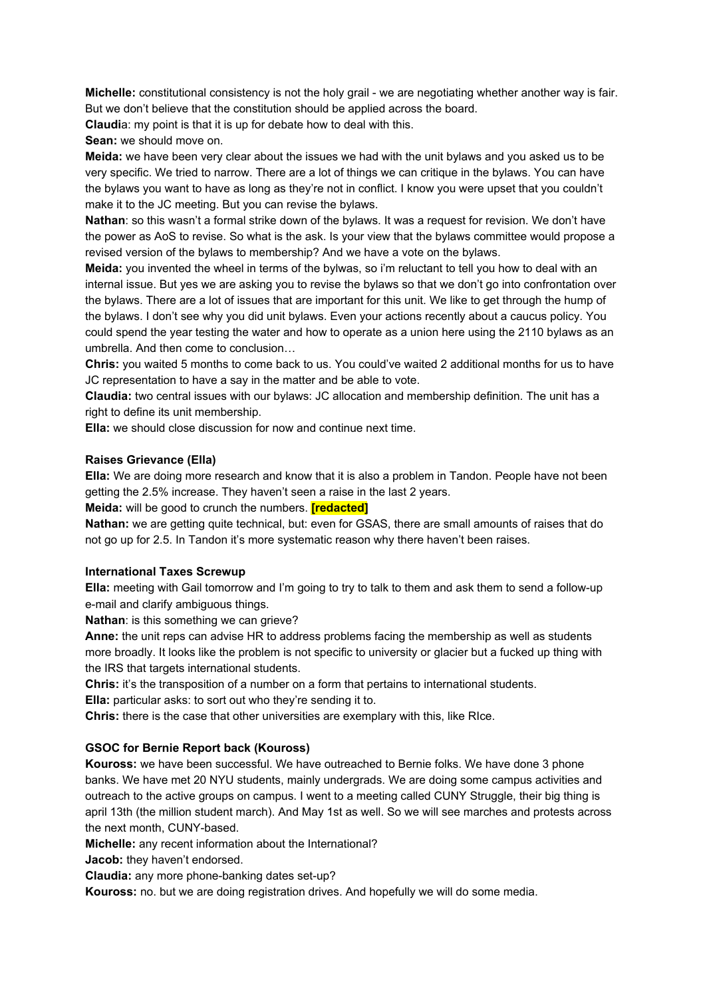**Michelle:** constitutional consistency is not the holy grail - we are negotiating whether another way is fair. But we don't believe that the constitution should be applied across the board.

**Claudi**a: my point is that it is up for debate how to deal with this.

**Sean:** we should move on.

**Meida:**we have been very clear about the issues we had with the unit bylaws and you asked us to be very specific. We tried to narrow. There are a lot of things we can critique in the bylaws. You can have the bylaws you want to have as long as they're not in conflict. I know you were upset that you couldn't make it to the JC meeting. But you can revise the bylaws.

**Nathan**: so this wasn't a formal strike down of the bylaws. It was a request for revision. We don't have the power as AoS to revise. So what is the ask. Is your view that the bylaws committee would propose a revised version of the bylaws to membership? And we have a vote on the bylaws.

**Meida:**you invented the wheel in terms of the bylwas, so i'm reluctant to tell you how to deal with an internal issue. But yes we are asking you to revise the bylaws so that we don't go into confrontation over the bylaws. There are a lot of issues that are important for this unit. We like to get through the hump of the bylaws. I don't see why you did unit bylaws. Even your actions recently about a caucus policy. You could spend the year testing the water and how to operate as a union here using the 2110 bylaws as an umbrella. And then come to conclusion…

**Chris:** you waited 5 months to come back to us. You could've waited 2 additional months for us to have JC representation to have a say in the matter and be able to vote.

**Claudia:** two central issues with our bylaws: JC allocation and membership definition. The unit has a right to define its unit membership.

**Ella:**we should close discussion for now and continue next time.

#### **Raises Grievance (Ella)**

**Ella:** We are doing more research and know that it is also a problem in Tandon. People have not been getting the 2.5% increase. They haven't seen a raise in the last 2 years.

**Meida:** will be good to crunch the numbers. **[redacted]**

**Nathan:** we are getting quite technical, but: even for GSAS, there are small amounts of raises that do not go up for 2.5. In Tandon it's more systematic reason why there haven't been raises.

#### **International Taxes Screwup**

**Ella:** meeting with Gail tomorrow and I'm going to try to talk to them and ask them to send a follow-up e-mail and clarify ambiguous things.

**Nathan**: is this something we can grieve?

**Anne:**the unit reps can advise HR to address problems facing the membership as well as students more broadly. It looks like the problem is not specific to university or glacier but a fucked up thing with the IRS that targets international students.

**Chris:**it's the transposition of a number on a form that pertains to international students. **Ella:** particular asks: to sort out who they're sending it to.

**Chris:**there is the case that other universities are exemplary with this, like RIce.

## **GSOC for Bernie Report back (Kouross)**

**Kouross:** we have been successful. We have outreached to Bernie folks. We have done 3 phone banks. We have met 20 NYU students, mainly undergrads. We are doing some campus activities and outreach to the active groups on campus. I went to a meeting called CUNY Struggle, their big thing is april 13th (the million student march). And May 1st as well. So we will see marches and protests across the next month, CUNY-based.

**Michelle:** any recent information about the International?

**Jacob:** they haven't endorsed.

**Claudia:** any more phone-banking dates set-up?

**Kouross:** no. but we are doing registration drives. And hopefully we will do some media.